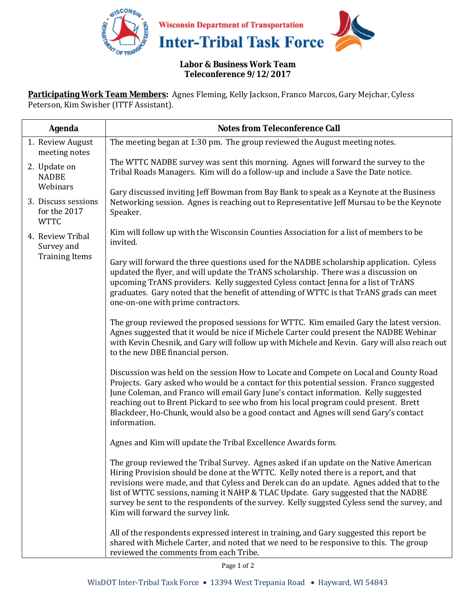

#### **Labor & Business Work Team Teleconference 9/12/2017**

**Participating Work Team Members:** Agnes Fleming, Kelly Jackson, Franco Marcos, Gary Mejchar, Cyless Peterson, Kim Swisher (ITTF Assistant).

| <b>Agenda</b>                                           | <b>Notes from Teleconference Call</b>                                                                                                                                                                                                                                                                                                                                                                                                                                                               |
|---------------------------------------------------------|-----------------------------------------------------------------------------------------------------------------------------------------------------------------------------------------------------------------------------------------------------------------------------------------------------------------------------------------------------------------------------------------------------------------------------------------------------------------------------------------------------|
| 1. Review August<br>meeting notes                       | The meeting began at 1:30 pm. The group reviewed the August meeting notes.                                                                                                                                                                                                                                                                                                                                                                                                                          |
| 2. Update on<br><b>NADBE</b><br>Webinars                | The WTTC NADBE survey was sent this morning. Agnes will forward the survey to the<br>Tribal Roads Managers. Kim will do a follow-up and include a Save the Date notice.                                                                                                                                                                                                                                                                                                                             |
| 3. Discuss sessions<br>for the 2017<br><b>WTTC</b>      | Gary discussed inviting Jeff Bowman from Bay Bank to speak as a Keynote at the Business<br>Networking session. Agnes is reaching out to Representative Jeff Mursau to be the Keynote<br>Speaker.                                                                                                                                                                                                                                                                                                    |
| 4. Review Tribal<br>Survey and<br><b>Training Items</b> | Kim will follow up with the Wisconsin Counties Association for a list of members to be<br>invited.                                                                                                                                                                                                                                                                                                                                                                                                  |
|                                                         | Gary will forward the three questions used for the NADBE scholarship application. Cyless<br>updated the flyer, and will update the TrANS scholarship. There was a discussion on<br>upcoming TrANS providers. Kelly suggested Cyless contact Jenna for a list of TrANS<br>graduates. Gary noted that the benefit of attending of WTTC is that TrANS grads can meet<br>one-on-one with prime contractors.                                                                                             |
|                                                         | The group reviewed the proposed sessions for WTTC. Kim emailed Gary the latest version.<br>Agnes suggested that it would be nice if Michele Carter could present the NADBE Webinar<br>with Kevin Chesnik, and Gary will follow up with Michele and Kevin. Gary will also reach out<br>to the new DBE financial person.                                                                                                                                                                              |
|                                                         | Discussion was held on the session How to Locate and Compete on Local and County Road<br>Projects. Gary asked who would be a contact for this potential session. Franco suggested<br>June Coleman, and Franco will email Gary June's contact information. Kelly suggested<br>reaching out to Brent Pickard to see who from his local program could present. Brett<br>Blackdeer, Ho-Chunk, would also be a good contact and Agnes will send Gary's contact<br>information.                           |
|                                                         | Agnes and Kim will update the Tribal Excellence Awards form.                                                                                                                                                                                                                                                                                                                                                                                                                                        |
|                                                         | The group reviewed the Tribal Survey. Agnes asked if an update on the Native American<br>Hiring Provision should be done at the WTTC. Kelly noted there is a report, and that<br>revisions were made, and that Cyless and Derek can do an update. Agnes added that to the<br>list of WTTC sessions, naming it NAHP & TLAC Update. Gary suggested that the NADBE<br>survey be sent to the respondents of the survey. Kelly suggsted Cyless send the survey, and<br>Kim will forward the survey link. |
|                                                         | All of the respondents expressed interest in training, and Gary suggested this report be<br>shared with Michele Carter, and noted that we need to be responsive to this. The group<br>reviewed the comments from each Tribe.                                                                                                                                                                                                                                                                        |